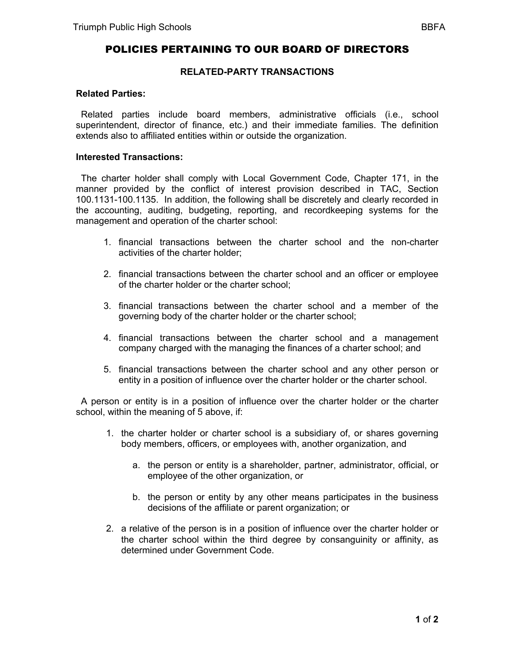# POLICIES PERTAINING TO OUR BOARD OF DIRECTORS

### **RELATED-PARTY TRANSACTIONS**

### **Related Parties:**

 Related parties include board members, administrative officials (i.e., school superintendent, director of finance, etc.) and their immediate families. The definition extends also to affiliated entities within or outside the organization.

## **Interested Transactions:**

 The charter holder shall comply with Local Government Code, Chapter 171, in the manner provided by the conflict of interest provision described in TAC, Section 100.1131-100.1135. In addition, the following shall be discretely and clearly recorded in the accounting, auditing, budgeting, reporting, and recordkeeping systems for the management and operation of the charter school:

- 1. financial transactions between the charter school and the non-charter activities of the charter holder;
- 2. financial transactions between the charter school and an officer or employee of the charter holder or the charter school;
- 3. financial transactions between the charter school and a member of the governing body of the charter holder or the charter school;
- 4. financial transactions between the charter school and a management company charged with the managing the finances of a charter school; and
- 5. financial transactions between the charter school and any other person or entity in a position of influence over the charter holder or the charter school.

 A person or entity is in a position of influence over the charter holder or the charter school, within the meaning of 5 above, if:

- 1. the charter holder or charter school is a subsidiary of, or shares governing body members, officers, or employees with, another organization, and
	- a. the person or entity is a shareholder, partner, administrator, official, or employee of the other organization, or
	- b. the person or entity by any other means participates in the business decisions of the affiliate or parent organization; or
- 2. a relative of the person is in a position of influence over the charter holder or the charter school within the third degree by consanguinity or affinity, as determined under Government Code.